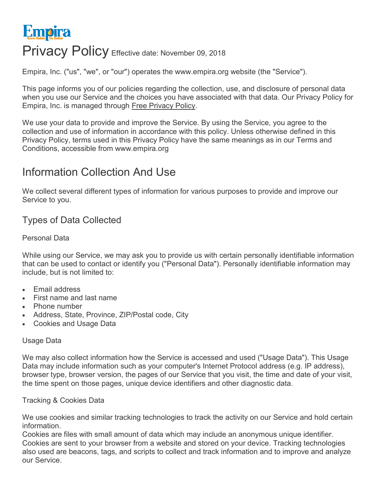

# Privacy Policy Effective date: November 09, 2018

Empira, Inc. ("us", "we", or "our") operates the www.empira.org website (the "Service").

This page informs you of our policies regarding the collection, use, and disclosure of personal data when you use our Service and the choices you have associated with that data. Our Privacy Policy for Empira, Inc. is managed through [Free Privacy Policy.](https://www.freeprivacypolicy.com/free-privacy-policy-generator.php)

We use your data to provide and improve the Service. By using the Service, you agree to the collection and use of information in accordance with this policy. Unless otherwise defined in this Privacy Policy, terms used in this Privacy Policy have the same meanings as in our Terms and Conditions, accessible from www.empira.org

# Information Collection And Use

We collect several different types of information for various purposes to provide and improve our Service to you.

### Types of Data Collected

### Personal Data

While using our Service, we may ask you to provide us with certain personally identifiable information that can be used to contact or identify you ("Personal Data"). Personally identifiable information may include, but is not limited to:

- Email address
- First name and last name
- Phone number
- Address, State, Province, ZIP/Postal code, City
- Cookies and Usage Data

### Usage Data

We may also collect information how the Service is accessed and used ("Usage Data"). This Usage Data may include information such as your computer's Internet Protocol address (e.g. IP address), browser type, browser version, the pages of our Service that you visit, the time and date of your visit, the time spent on those pages, unique device identifiers and other diagnostic data.

### Tracking & Cookies Data

We use cookies and similar tracking technologies to track the activity on our Service and hold certain information.

Cookies are files with small amount of data which may include an anonymous unique identifier. Cookies are sent to your browser from a website and stored on your device. Tracking technologies also used are beacons, tags, and scripts to collect and track information and to improve and analyze our Service.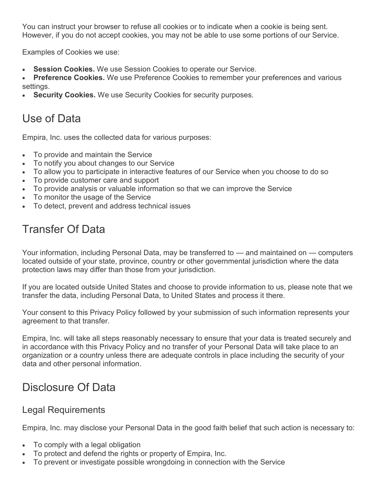You can instruct your browser to refuse all cookies or to indicate when a cookie is being sent. However, if you do not accept cookies, you may not be able to use some portions of our Service.

Examples of Cookies we use:

**Session Cookies.** We use Session Cookies to operate our Service.

**Preference Cookies.** We use Preference Cookies to remember your preferences and various settings.

**Security Cookies.** We use Security Cookies for security purposes.

### Use of Data

Empira, Inc. uses the collected data for various purposes:

- To provide and maintain the Service
- To notify you about changes to our Service
- To allow you to participate in interactive features of our Service when you choose to do so
- To provide customer care and support
- To provide analysis or valuable information so that we can improve the Service
- To monitor the usage of the Service
- To detect, prevent and address technical issues

# Transfer Of Data

Your information, including Personal Data, may be transferred to — and maintained on — computers located outside of your state, province, country or other governmental jurisdiction where the data protection laws may differ than those from your jurisdiction.

If you are located outside United States and choose to provide information to us, please note that we transfer the data, including Personal Data, to United States and process it there.

Your consent to this Privacy Policy followed by your submission of such information represents your agreement to that transfer.

Empira, Inc. will take all steps reasonably necessary to ensure that your data is treated securely and in accordance with this Privacy Policy and no transfer of your Personal Data will take place to an organization or a country unless there are adequate controls in place including the security of your data and other personal information.

### Disclosure Of Data

### Legal Requirements

Empira, Inc. may disclose your Personal Data in the good faith belief that such action is necessary to:

- To comply with a legal obligation
- To protect and defend the rights or property of Empira, Inc.
- To prevent or investigate possible wrongdoing in connection with the Service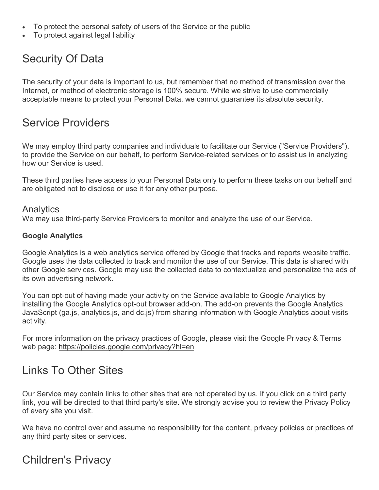- To protect the personal safety of users of the Service or the public
- To protect against legal liability

# Security Of Data

The security of your data is important to us, but remember that no method of transmission over the Internet, or method of electronic storage is 100% secure. While we strive to use commercially acceptable means to protect your Personal Data, we cannot guarantee its absolute security.

### Service Providers

We may employ third party companies and individuals to facilitate our Service ("Service Providers"), to provide the Service on our behalf, to perform Service-related services or to assist us in analyzing how our Service is used.

These third parties have access to your Personal Data only to perform these tasks on our behalf and are obligated not to disclose or use it for any other purpose.

### Analytics

We may use third-party Service Providers to monitor and analyze the use of our Service.

### **Google Analytics**

Google Analytics is a web analytics service offered by Google that tracks and reports website traffic. Google uses the data collected to track and monitor the use of our Service. This data is shared with other Google services. Google may use the collected data to contextualize and personalize the ads of its own advertising network.

You can opt-out of having made your activity on the Service available to Google Analytics by installing the Google Analytics opt-out browser add-on. The add-on prevents the Google Analytics JavaScript (ga.js, analytics.js, and dc.js) from sharing information with Google Analytics about visits activity.

For more information on the privacy practices of Google, please visit the Google Privacy & Terms web page:<https://policies.google.com/privacy?hl=en>

### Links To Other Sites

Our Service may contain links to other sites that are not operated by us. If you click on a third party link, you will be directed to that third party's site. We strongly advise you to review the Privacy Policy of every site you visit.

We have no control over and assume no responsibility for the content, privacy policies or practices of any third party sites or services.

### Children's Privacy